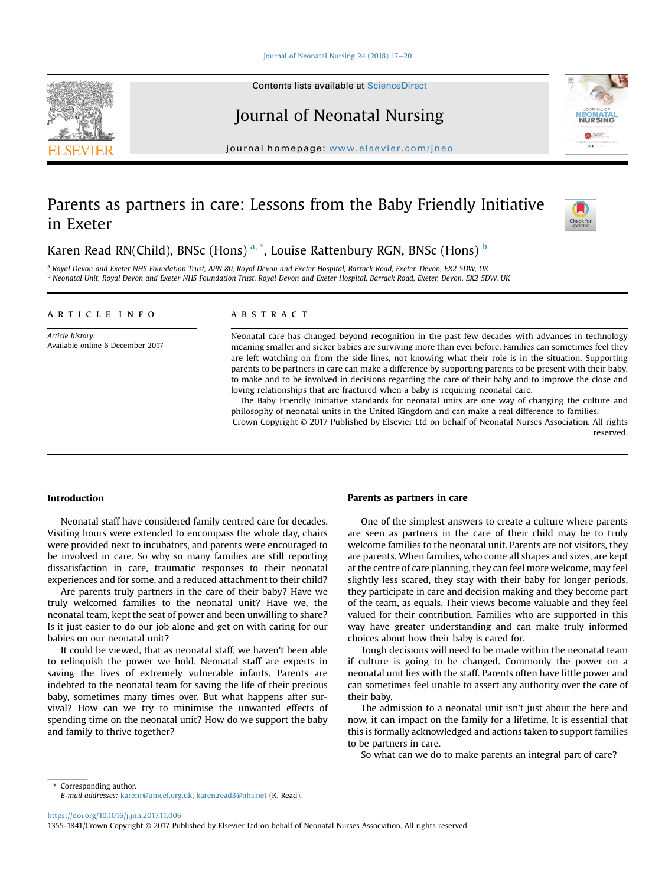[Journal of Neonatal Nursing 24 \(2018\) 17](https://doi.org/10.1016/j.jnn.2017.11.006)-[20](https://doi.org/10.1016/j.jnn.2017.11.006)

Contents lists available at ScienceDirect

# Journal of Neonatal Nursing

journal homepage: <www.elsevier.com/jneo>

# Parents as partners in care: Lessons from the Baby Friendly Initiative in Exeter



a Royal Devon and Exeter NHS Foundation Trust, APN 80, Royal Devon and Exeter Hospital, Barrack Road, Exeter, Devon, EX2 5DW, UK <sup>b</sup> Neonatal Unit, Royal Devon and Exeter NHS Foundation Trust, Royal Devon and Exeter Hospital, Barrack Road, Exeter, Devon, EX2 5DW, UK

#### article info

Article history: Available online 6 December 2017

## **ABSTRACT**

Neonatal care has changed beyond recognition in the past few decades with advances in technology meaning smaller and sicker babies are surviving more than ever before. Families can sometimes feel they are left watching on from the side lines, not knowing what their role is in the situation. Supporting parents to be partners in care can make a difference by supporting parents to be present with their baby, to make and to be involved in decisions regarding the care of their baby and to improve the close and loving relationships that are fractured when a baby is requiring neonatal care.

The Baby Friendly Initiative standards for neonatal units are one way of changing the culture and philosophy of neonatal units in the United Kingdom and can make a real difference to families.

Crown Copyright © 2017 Published by Elsevier Ltd on behalf of Neonatal Nurses Association. All rights reserved.

#### Introduction

Neonatal staff have considered family centred care for decades. Visiting hours were extended to encompass the whole day, chairs were provided next to incubators, and parents were encouraged to be involved in care. So why so many families are still reporting dissatisfaction in care, traumatic responses to their neonatal experiences and for some, and a reduced attachment to their child?

Are parents truly partners in the care of their baby? Have we truly welcomed families to the neonatal unit? Have we, the neonatal team, kept the seat of power and been unwilling to share? Is it just easier to do our job alone and get on with caring for our babies on our neonatal unit?

It could be viewed, that as neonatal staff, we haven't been able to relinquish the power we hold. Neonatal staff are experts in saving the lives of extremely vulnerable infants. Parents are indebted to the neonatal team for saving the life of their precious baby, sometimes many times over. But what happens after survival? How can we try to minimise the unwanted effects of spending time on the neonatal unit? How do we support the baby and family to thrive together?

#### Parents as partners in care

One of the simplest answers to create a culture where parents are seen as partners in the care of their child may be to truly welcome families to the neonatal unit. Parents are not visitors, they are parents. When families, who come all shapes and sizes, are kept at the centre of care planning, they can feel more welcome, may feel slightly less scared, they stay with their baby for longer periods, they participate in care and decision making and they become part of the team, as equals. Their views become valuable and they feel valued for their contribution. Families who are supported in this way have greater understanding and can make truly informed choices about how their baby is cared for.

Tough decisions will need to be made within the neonatal team if culture is going to be changed. Commonly the power on a neonatal unit lies with the staff. Parents often have little power and can sometimes feel unable to assert any authority over the care of their baby.

The admission to a neonatal unit isn't just about the here and now, it can impact on the family for a lifetime. It is essential that this is formally acknowledged and actions taken to support families to be partners in care.

So what can we do to make parents an integral part of care?

E-mail addresses: [karenr@unicef.org.uk](mailto:karenr@unicef.org.uk), [karen.read3@nhs.net](mailto:karen.read3@nhs.net) (K. Read).

<https://doi.org/10.1016/j.jnn.2017.11.006>

Corresponding author.

1355-1841/Crown Copyright © 2017 Published by Elsevier Ltd on behalf of Neonatal Nurses Association. All rights reserved.







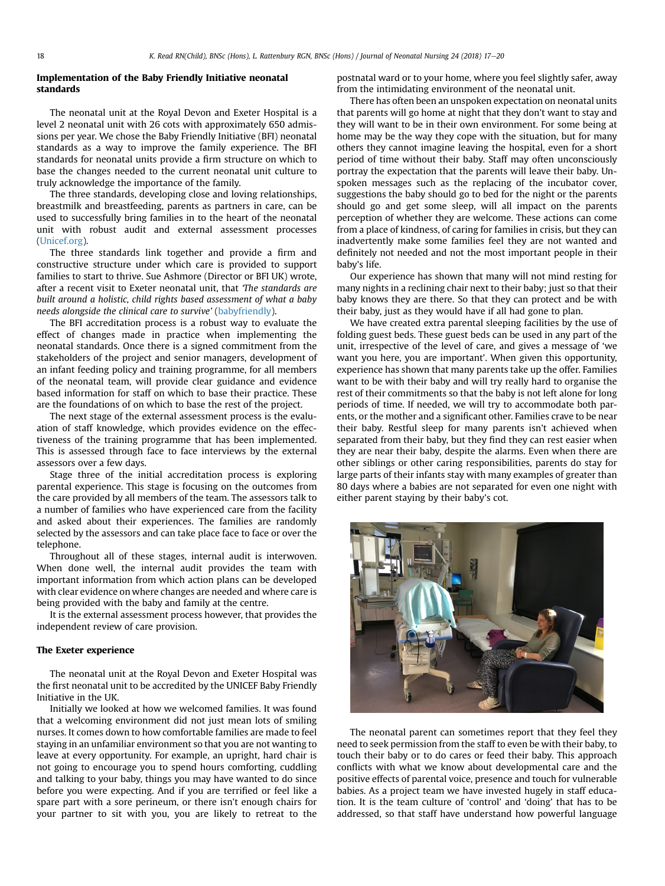# Implementation of the Baby Friendly Initiative neonatal standards

The neonatal unit at the Royal Devon and Exeter Hospital is a level 2 neonatal unit with 26 cots with approximately 650 admissions per year. We chose the Baby Friendly Initiative (BFI) neonatal standards as a way to improve the family experience. The BFI standards for neonatal units provide a firm structure on which to base the changes needed to the current neonatal unit culture to truly acknowledge the importance of the family.

The three standards, developing close and loving relationships, breastmilk and breastfeeding, parents as partners in care, can be used to successfully bring families in to the heart of the neonatal unit with robust audit and external assessment processes ([Unicef.org](#page-3-0)).

The three standards link together and provide a firm and constructive structure under which care is provided to support families to start to thrive. Sue Ashmore (Director or BFI UK) wrote, after a recent visit to Exeter neonatal unit, that 'The standards are built around a holistic, child rights based assessment of what a baby needs alongside the clinical care to survive' [\(babyfriendly](#page-3-0)).

The BFI accreditation process is a robust way to evaluate the effect of changes made in practice when implementing the neonatal standards. Once there is a signed commitment from the stakeholders of the project and senior managers, development of an infant feeding policy and training programme, for all members of the neonatal team, will provide clear guidance and evidence based information for staff on which to base their practice. These are the foundations of on which to base the rest of the project.

The next stage of the external assessment process is the evaluation of staff knowledge, which provides evidence on the effectiveness of the training programme that has been implemented. This is assessed through face to face interviews by the external assessors over a few days.

Stage three of the initial accreditation process is exploring parental experience. This stage is focusing on the outcomes from the care provided by all members of the team. The assessors talk to a number of families who have experienced care from the facility and asked about their experiences. The families are randomly selected by the assessors and can take place face to face or over the telephone.

Throughout all of these stages, internal audit is interwoven. When done well, the internal audit provides the team with important information from which action plans can be developed with clear evidence on where changes are needed and where care is being provided with the baby and family at the centre.

It is the external assessment process however, that provides the independent review of care provision.

## The Exeter experience

The neonatal unit at the Royal Devon and Exeter Hospital was the first neonatal unit to be accredited by the UNICEF Baby Friendly Initiative in the UK.

Initially we looked at how we welcomed families. It was found that a welcoming environment did not just mean lots of smiling nurses. It comes down to how comfortable families are made to feel staying in an unfamiliar environment so that you are not wanting to leave at every opportunity. For example, an upright, hard chair is not going to encourage you to spend hours comforting, cuddling and talking to your baby, things you may have wanted to do since before you were expecting. And if you are terrified or feel like a spare part with a sore perineum, or there isn't enough chairs for your partner to sit with you, you are likely to retreat to the postnatal ward or to your home, where you feel slightly safer, away from the intimidating environment of the neonatal unit.

There has often been an unspoken expectation on neonatal units that parents will go home at night that they don't want to stay and they will want to be in their own environment. For some being at home may be the way they cope with the situation, but for many others they cannot imagine leaving the hospital, even for a short period of time without their baby. Staff may often unconsciously portray the expectation that the parents will leave their baby. Unspoken messages such as the replacing of the incubator cover, suggestions the baby should go to bed for the night or the parents should go and get some sleep, will all impact on the parents perception of whether they are welcome. These actions can come from a place of kindness, of caring for families in crisis, but they can inadvertently make some families feel they are not wanted and definitely not needed and not the most important people in their baby's life.

Our experience has shown that many will not mind resting for many nights in a reclining chair next to their baby; just so that their baby knows they are there. So that they can protect and be with their baby, just as they would have if all had gone to plan.

We have created extra parental sleeping facilities by the use of folding guest beds. These guest beds can be used in any part of the unit, irrespective of the level of care, and gives a message of 'we want you here, you are important'. When given this opportunity, experience has shown that many parents take up the offer. Families want to be with their baby and will try really hard to organise the rest of their commitments so that the baby is not left alone for long periods of time. If needed, we will try to accommodate both parents, or the mother and a significant other. Families crave to be near their baby. Restful sleep for many parents isn't achieved when separated from their baby, but they find they can rest easier when they are near their baby, despite the alarms. Even when there are other siblings or other caring responsibilities, parents do stay for large parts of their infants stay with many examples of greater than 80 days where a babies are not separated for even one night with either parent staying by their baby's cot.



The neonatal parent can sometimes report that they feel they need to seek permission from the staff to even be with their baby, to touch their baby or to do cares or feed their baby. This approach conflicts with what we know about developmental care and the positive effects of parental voice, presence and touch for vulnerable babies. As a project team we have invested hugely in staff education. It is the team culture of 'control' and 'doing' that has to be addressed, so that staff have understand how powerful language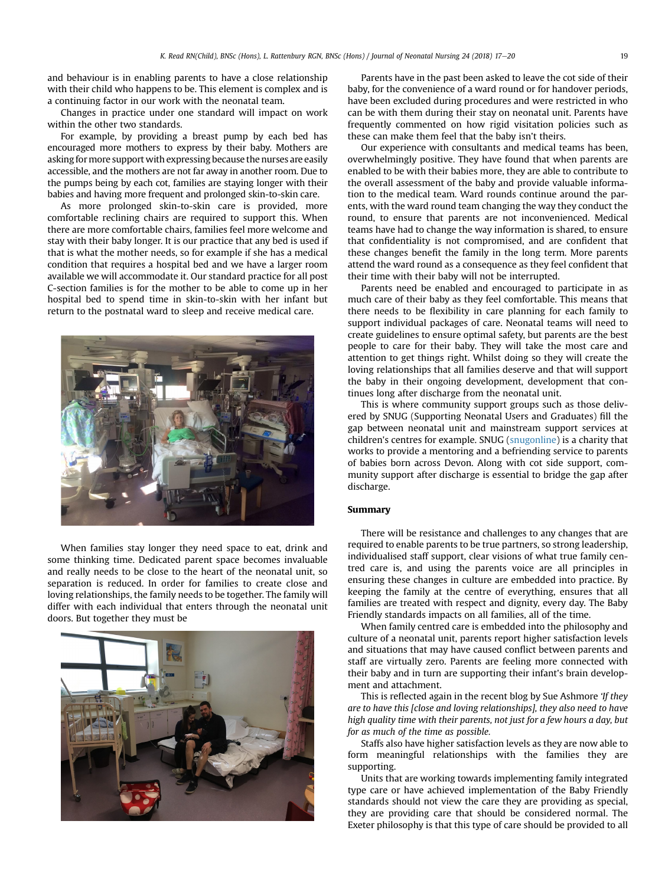and behaviour is in enabling parents to have a close relationship with their child who happens to be. This element is complex and is a continuing factor in our work with the neonatal team.

Changes in practice under one standard will impact on work within the other two standards.

For example, by providing a breast pump by each bed has encouraged more mothers to express by their baby. Mothers are asking for more support with expressing because the nurses are easily accessible, and the mothers are not far away in another room. Due to the pumps being by each cot, families are staying longer with their babies and having more frequent and prolonged skin-to-skin care.

As more prolonged skin-to-skin care is provided, more comfortable reclining chairs are required to support this. When there are more comfortable chairs, families feel more welcome and stay with their baby longer. It is our practice that any bed is used if that is what the mother needs, so for example if she has a medical condition that requires a hospital bed and we have a larger room available we will accommodate it. Our standard practice for all post C-section families is for the mother to be able to come up in her hospital bed to spend time in skin-to-skin with her infant but return to the postnatal ward to sleep and receive medical care.



When families stay longer they need space to eat, drink and some thinking time. Dedicated parent space becomes invaluable and really needs to be close to the heart of the neonatal unit, so separation is reduced. In order for families to create close and loving relationships, the family needs to be together. The family will differ with each individual that enters through the neonatal unit doors. But together they must be



Parents have in the past been asked to leave the cot side of their baby, for the convenience of a ward round or for handover periods, have been excluded during procedures and were restricted in who can be with them during their stay on neonatal unit. Parents have frequently commented on how rigid visitation policies such as these can make them feel that the baby isn't theirs.

Our experience with consultants and medical teams has been, overwhelmingly positive. They have found that when parents are enabled to be with their babies more, they are able to contribute to the overall assessment of the baby and provide valuable information to the medical team. Ward rounds continue around the parents, with the ward round team changing the way they conduct the round, to ensure that parents are not inconvenienced. Medical teams have had to change the way information is shared, to ensure that confidentiality is not compromised, and are confident that these changes benefit the family in the long term. More parents attend the ward round as a consequence as they feel confident that their time with their baby will not be interrupted.

Parents need be enabled and encouraged to participate in as much care of their baby as they feel comfortable. This means that there needs to be flexibility in care planning for each family to support individual packages of care. Neonatal teams will need to create guidelines to ensure optimal safety, but parents are the best people to care for their baby. They will take the most care and attention to get things right. Whilst doing so they will create the loving relationships that all families deserve and that will support the baby in their ongoing development, development that continues long after discharge from the neonatal unit.

This is where community support groups such as those delivered by SNUG (Supporting Neonatal Users and Graduates) fill the gap between neonatal unit and mainstream support services at children's centres for example. SNUG ([snugonline\)](#page-3-0) is a charity that works to provide a mentoring and a befriending service to parents of babies born across Devon. Along with cot side support, community support after discharge is essential to bridge the gap after discharge.

#### Summary

There will be resistance and challenges to any changes that are required to enable parents to be true partners, so strong leadership, individualised staff support, clear visions of what true family centred care is, and using the parents voice are all principles in ensuring these changes in culture are embedded into practice. By keeping the family at the centre of everything, ensures that all families are treated with respect and dignity, every day. The Baby Friendly standards impacts on all families, all of the time.

When family centred care is embedded into the philosophy and culture of a neonatal unit, parents report higher satisfaction levels and situations that may have caused conflict between parents and staff are virtually zero. Parents are feeling more connected with their baby and in turn are supporting their infant's brain development and attachment.

This is reflected again in the recent blog by Sue Ashmore 'If they are to have this [close and loving relationships], they also need to have high quality time with their parents, not just for a few hours a day, but for as much of the time as possible.

Staffs also have higher satisfaction levels as they are now able to form meaningful relationships with the families they are supporting.

Units that are working towards implementing family integrated type care or have achieved implementation of the Baby Friendly standards should not view the care they are providing as special, they are providing care that should be considered normal. The Exeter philosophy is that this type of care should be provided to all